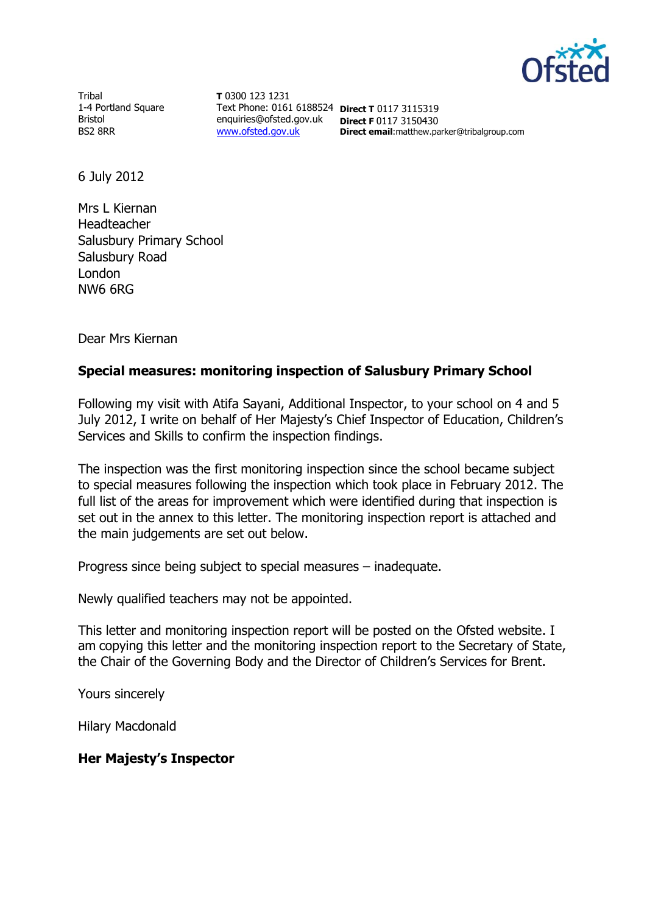

**Tribal** 1-4 Portland Square Bristol BS2 8RR

**T** 0300 123 1231 Text Phone: 0161 6188524 **Direct T** 0117 3115319 enquiries@ofsted.gov.uk **Direct F** 0117 3150430 [www.ofsted.gov.uk](http://www.ofsted.gov.uk/)

**Direct email**:matthew.parker@tribalgroup.com

6 July 2012

Mrs L Kiernan Headteacher Salusbury Primary School Salusbury Road London NW6 6RG

Dear Mrs Kiernan

# **Special measures: monitoring inspection of Salusbury Primary School**

Following my visit with Atifa Sayani, Additional Inspector, to your school on 4 and 5 July 2012, I write on behalf of Her Majesty's Chief Inspector of Education, Children's Services and Skills to confirm the inspection findings.

The inspection was the first monitoring inspection since the school became subject to special measures following the inspection which took place in February 2012. The full list of the areas for improvement which were identified during that inspection is set out in the annex to this letter. The monitoring inspection report is attached and the main judgements are set out below.

Progress since being subject to special measures – inadequate.

Newly qualified teachers may not be appointed.

This letter and monitoring inspection report will be posted on the Ofsted website. I am copying this letter and the monitoring inspection report to the Secretary of State, the Chair of the Governing Body and the Director of Children's Services for Brent.

Yours sincerely

Hilary Macdonald

#### **Her Majesty's Inspector**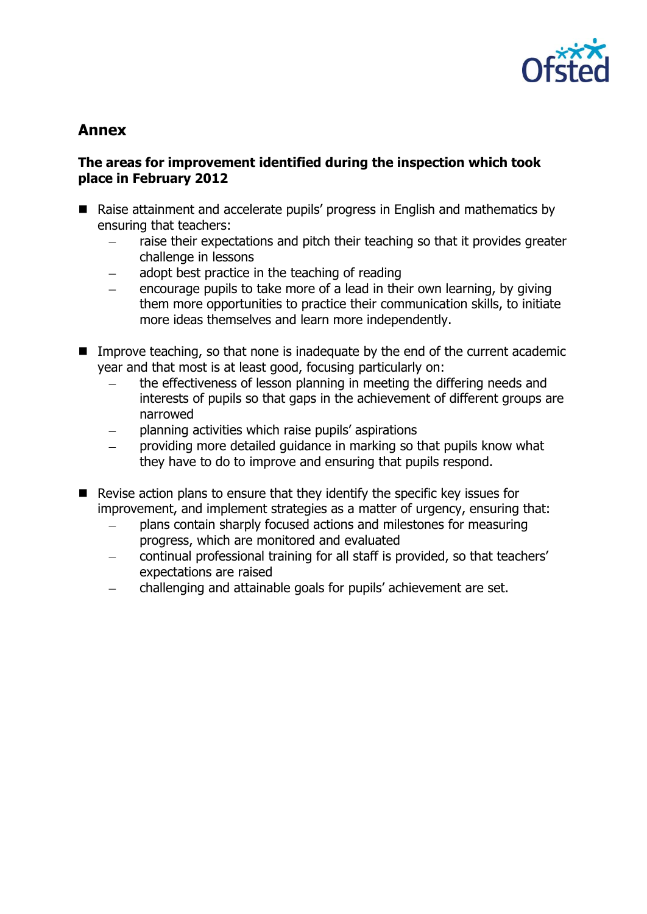

# **Annex**

# **The areas for improvement identified during the inspection which took place in February 2012**

- Raise attainment and accelerate pupils' progress in English and mathematics by ensuring that teachers:
	- raise their expectations and pitch their teaching so that it provides greater challenge in lessons
	- adopt best practice in the teaching of reading
	- encourage pupils to take more of a lead in their own learning, by giving them more opportunities to practice their communication skills, to initiate more ideas themselves and learn more independently.
- Improve teaching, so that none is inadequate by the end of the current academic year and that most is at least good, focusing particularly on:
	- the effectiveness of lesson planning in meeting the differing needs and interests of pupils so that gaps in the achievement of different groups are narrowed
	- planning activities which raise pupils' aspirations
	- providing more detailed guidance in marking so that pupils know what they have to do to improve and ensuring that pupils respond.
- $\blacksquare$  Revise action plans to ensure that they identify the specific key issues for improvement, and implement strategies as a matter of urgency, ensuring that:
	- plans contain sharply focused actions and milestones for measuring progress, which are monitored and evaluated
	- continual professional training for all staff is provided, so that teachers'  $\equiv$ expectations are raised
	- challenging and attainable goals for pupils' achievement are set. $\equiv$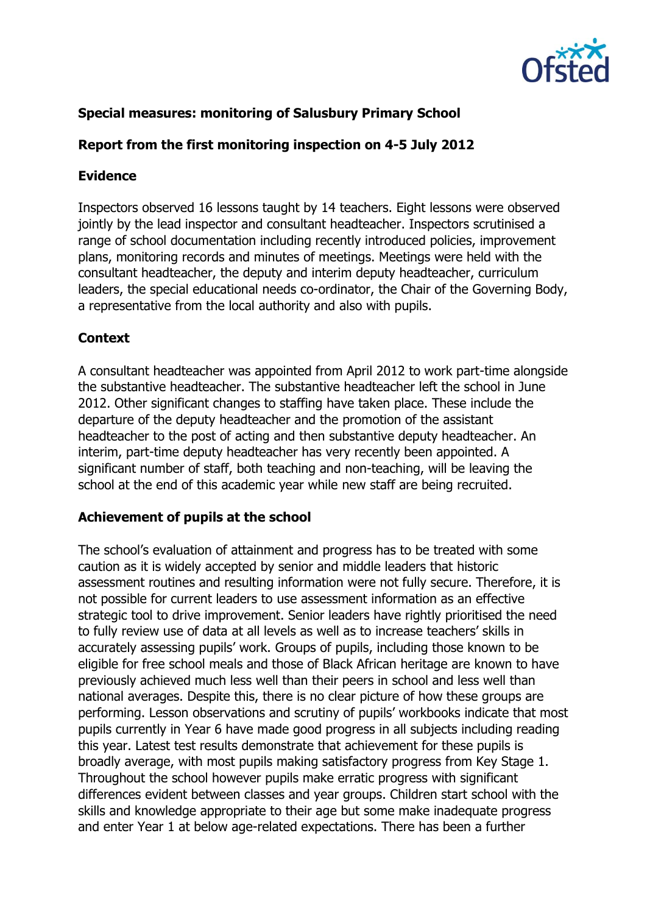

# **Special measures: monitoring of Salusbury Primary School**

# **Report from the first monitoring inspection on 4-5 July 2012**

### **Evidence**

Inspectors observed 16 lessons taught by 14 teachers. Eight lessons were observed jointly by the lead inspector and consultant headteacher. Inspectors scrutinised a range of school documentation including recently introduced policies, improvement plans, monitoring records and minutes of meetings. Meetings were held with the consultant headteacher, the deputy and interim deputy headteacher, curriculum leaders, the special educational needs co-ordinator, the Chair of the Governing Body, a representative from the local authority and also with pupils.

#### **Context**

A consultant headteacher was appointed from April 2012 to work part-time alongside the substantive headteacher. The substantive headteacher left the school in June 2012. Other significant changes to staffing have taken place. These include the departure of the deputy headteacher and the promotion of the assistant headteacher to the post of acting and then substantive deputy headteacher. An interim, part-time deputy headteacher has very recently been appointed. A significant number of staff, both teaching and non-teaching, will be leaving the school at the end of this academic year while new staff are being recruited.

#### **Achievement of pupils at the school**

The school's evaluation of attainment and progress has to be treated with some caution as it is widely accepted by senior and middle leaders that historic assessment routines and resulting information were not fully secure. Therefore, it is not possible for current leaders to use assessment information as an effective strategic tool to drive improvement. Senior leaders have rightly prioritised the need to fully review use of data at all levels as well as to increase teachers' skills in accurately assessing pupils' work. Groups of pupils, including those known to be eligible for free school meals and those of Black African heritage are known to have previously achieved much less well than their peers in school and less well than national averages. Despite this, there is no clear picture of how these groups are performing. Lesson observations and scrutiny of pupils' workbooks indicate that most pupils currently in Year 6 have made good progress in all subjects including reading this year. Latest test results demonstrate that achievement for these pupils is broadly average, with most pupils making satisfactory progress from Key Stage 1. Throughout the school however pupils make erratic progress with significant differences evident between classes and year groups. Children start school with the skills and knowledge appropriate to their age but some make inadequate progress and enter Year 1 at below age-related expectations. There has been a further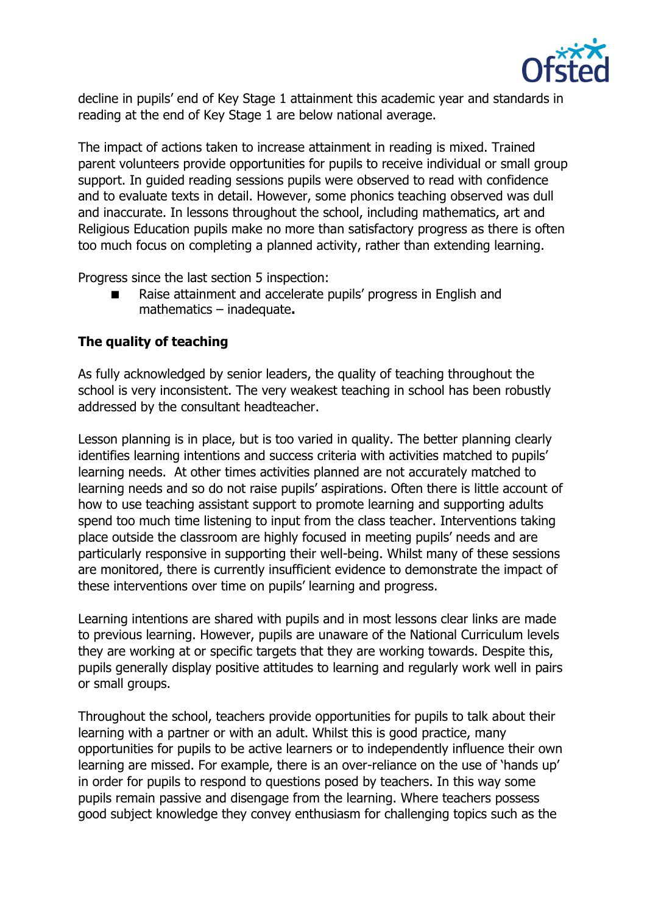

decline in pupils' end of Key Stage 1 attainment this academic year and standards in reading at the end of Key Stage 1 are below national average.

The impact of actions taken to increase attainment in reading is mixed. Trained parent volunteers provide opportunities for pupils to receive individual or small group support. In guided reading sessions pupils were observed to read with confidence and to evaluate texts in detail. However, some phonics teaching observed was dull and inaccurate. In lessons throughout the school, including mathematics, art and Religious Education pupils make no more than satisfactory progress as there is often too much focus on completing a planned activity, rather than extending learning.

Progress since the last section 5 inspection:

■ Raise attainment and accelerate pupils' progress in English and mathematics – inadequate**.**

# **The quality of teaching**

As fully acknowledged by senior leaders, the quality of teaching throughout the school is very inconsistent. The very weakest teaching in school has been robustly addressed by the consultant headteacher.

Lesson planning is in place, but is too varied in quality. The better planning clearly identifies learning intentions and success criteria with activities matched to pupils' learning needs. At other times activities planned are not accurately matched to learning needs and so do not raise pupils' aspirations. Often there is little account of how to use teaching assistant support to promote learning and supporting adults spend too much time listening to input from the class teacher. Interventions taking place outside the classroom are highly focused in meeting pupils' needs and are particularly responsive in supporting their well-being. Whilst many of these sessions are monitored, there is currently insufficient evidence to demonstrate the impact of these interventions over time on pupils' learning and progress.

Learning intentions are shared with pupils and in most lessons clear links are made to previous learning. However, pupils are unaware of the National Curriculum levels they are working at or specific targets that they are working towards. Despite this, pupils generally display positive attitudes to learning and regularly work well in pairs or small groups.

Throughout the school, teachers provide opportunities for pupils to talk about their learning with a partner or with an adult. Whilst this is good practice, many opportunities for pupils to be active learners or to independently influence their own learning are missed. For example, there is an over-reliance on the use of 'hands up' in order for pupils to respond to questions posed by teachers. In this way some pupils remain passive and disengage from the learning. Where teachers possess good subject knowledge they convey enthusiasm for challenging topics such as the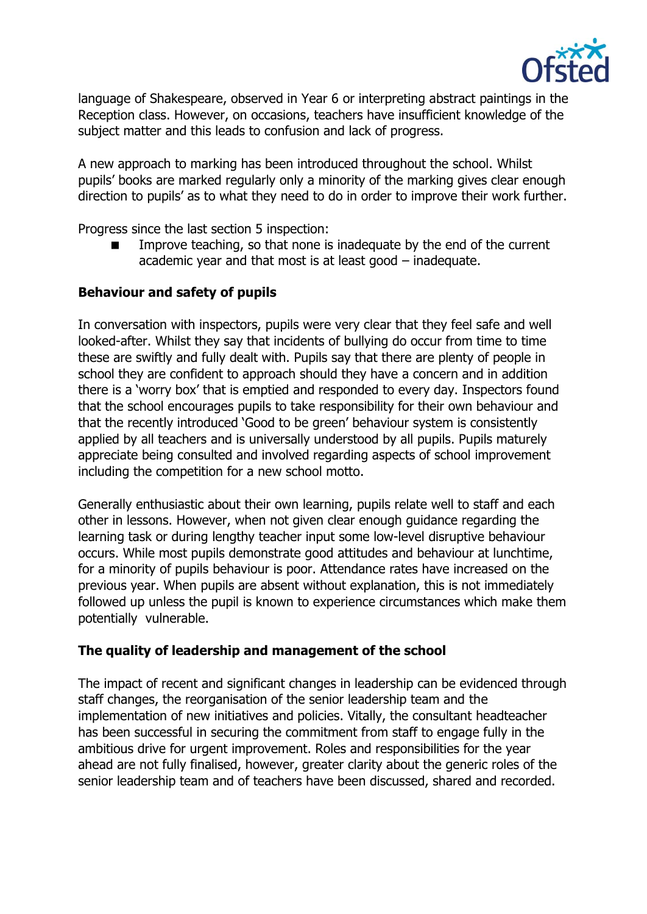

language of Shakespeare, observed in Year 6 or interpreting abstract paintings in the Reception class. However, on occasions, teachers have insufficient knowledge of the subject matter and this leads to confusion and lack of progress.

A new approach to marking has been introduced throughout the school. Whilst pupils' books are marked regularly only a minority of the marking gives clear enough direction to pupils' as to what they need to do in order to improve their work further.

Progress since the last section 5 inspection:

 Improve teaching, so that none is inadequate by the end of the current academic year and that most is at least good – inadequate.

# **Behaviour and safety of pupils**

In conversation with inspectors, pupils were very clear that they feel safe and well looked-after. Whilst they say that incidents of bullying do occur from time to time these are swiftly and fully dealt with. Pupils say that there are plenty of people in school they are confident to approach should they have a concern and in addition there is a 'worry box' that is emptied and responded to every day. Inspectors found that the school encourages pupils to take responsibility for their own behaviour and that the recently introduced 'Good to be green' behaviour system is consistently applied by all teachers and is universally understood by all pupils. Pupils maturely appreciate being consulted and involved regarding aspects of school improvement including the competition for a new school motto.

Generally enthusiastic about their own learning, pupils relate well to staff and each other in lessons. However, when not given clear enough guidance regarding the learning task or during lengthy teacher input some low-level disruptive behaviour occurs. While most pupils demonstrate good attitudes and behaviour at lunchtime, for a minority of pupils behaviour is poor. Attendance rates have increased on the previous year. When pupils are absent without explanation, this is not immediately followed up unless the pupil is known to experience circumstances which make them potentially vulnerable.

#### **The quality of leadership and management of the school**

The impact of recent and significant changes in leadership can be evidenced through staff changes, the reorganisation of the senior leadership team and the implementation of new initiatives and policies. Vitally, the consultant headteacher has been successful in securing the commitment from staff to engage fully in the ambitious drive for urgent improvement. Roles and responsibilities for the year ahead are not fully finalised, however, greater clarity about the generic roles of the senior leadership team and of teachers have been discussed, shared and recorded.